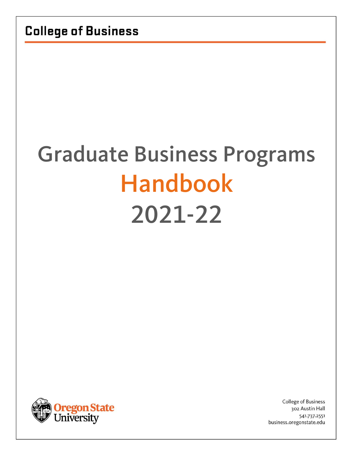# Graduate Business Programs Handbook 2021-22



College of Business 302 Austin Hall 541.737.2551 business.oregonstate.edu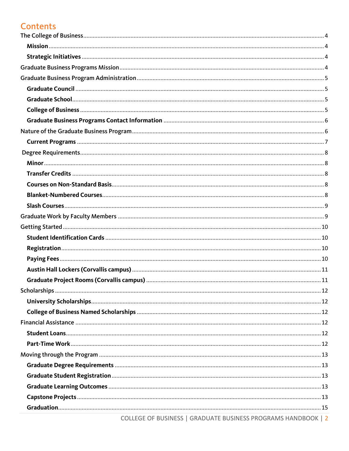# **Contents**

| COLLEGE OF BUSINESS LGRADUATE BUSINESS PROGRAMS HANDROOK L.2 |  |
|--------------------------------------------------------------|--|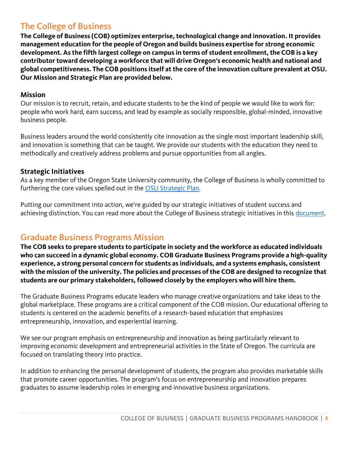# <span id="page-3-0"></span>The College of Business

**The College of Business (COB) optimizes enterprise, technological change and innovation. It provides management education for the people of Oregon and builds business expertise for strong economic development. As the fifth largest college on campus in terms of student enrollment, the COB is a key contributor toward developing a workforce that will drive Oregon's economic health and national and global competitiveness. The COB positions itself at the core of the innovation culture prevalent at OSU. Our Mission and Strategic Plan are provided below.**

#### <span id="page-3-1"></span>**Mission**

Our mission is to recruit, retain, and educate students to be the kind of people we would like to work for: people who work hard, earn success, and lead by example as socially responsible, global-minded, innovative business people.

Business leaders around the world consistently cite innovation as the single most important leadership skill, and innovation is something that can be taught. We provide our students with the education they need to methodically and creatively address problems and pursue opportunities from all angles.

## <span id="page-3-2"></span>**Strategic Initiatives**

As a key member of the Oregon State University community, the College of Business is wholly committed to furthering the core values spelled out in the [OSU Strategic Plan.](https://leadership.oregonstate.edu/provost/osu-strategic-plan)

Putting our commitment into action, we're guided by our strategic initiatives of student success and achieving distinction. You can read more about the College of Business strategic initiatives in this [document.](http://business.oregonstate.edu/sites/business.oregonstate.edu/files/cob_strategic_initiatives.pdf)

# <span id="page-3-3"></span>Graduate Business Programs Mission

**The COB seeks to prepare students to participate in society and the workforce as educated individuals who can succeed in a dynamic global economy. COB Graduate Business Programs provide a high-quality experience, a strong personal concern for students as individuals, and a systems emphasis, consistent with the mission of the university. The policies and processes of the COB are designed to recognize that students are our primary stakeholders, followed closely by the employers who will hire them.**

The Graduate Business Programs educate leaders who manage creative organizations and take ideas to the global marketplace. These programs are a critical component of the COB mission. Our educational offering to students is centered on the academic benefits of a research-based education that emphasizes entrepreneurship, innovation, and experiential learning.

We see our program emphasis on entrepreneurship and innovation as being particularly relevant to improving economic development and entrepreneurial activities in the State of Oregon. The curricula are focused on translating theory into practice.

In addition to enhancing the personal development of students, the program also provides marketable skills that promote career opportunities. The program's focus on entrepreneurship and innovation prepares graduates to assume leadership roles in emerging and innovative business organizations.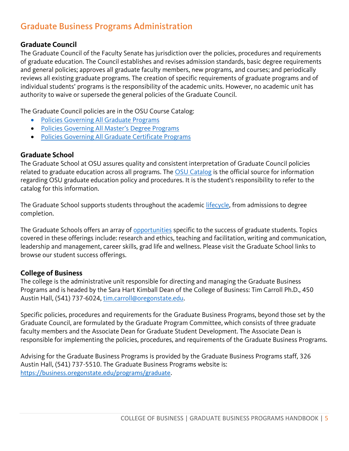# <span id="page-4-0"></span>Graduate Business Programs Administration

## <span id="page-4-1"></span>**Graduate Council**

The Graduate Council of the Faculty Senate has jurisdiction over the policies, procedures and requirements of graduate education. The Council establishes and revises admission standards, basic degree requirements and general policies; approves all graduate faculty members, new programs, and courses; and periodically reviews all existing graduate programs. The creation of specific requirements of graduate programs and of individual students' programs is the responsibility of the academic units. However, no academic unit has authority to waive or supersede the general policies of the Graduate Council.

The Graduate Council policies are in the OSU Course Catalog:

- [Policies Governing All Graduate Programs](https://catalog.oregonstate.edu/college-departments/graduate-school/#policiestext)
- [Policies Governing All Master's Degree Programs](https://catalog.oregonstate.edu/college-departments/graduate-school/#policiestext)
- [Policies Governing All Graduate Certificate Programs](https://catalog.oregonstate.edu/college-departments/graduate-school/#policiestext)

## <span id="page-4-2"></span>**Graduate School**

The Graduate School at OSU assures quality and consistent interpretation of Graduate Council policies related to graduate education across all programs. The [OSU Catalog](https://catalog.oregonstate.edu/college-departments/graduate-school/#text) is the official source for information regarding OSU graduate education policy and procedures. It is the student's responsibility to refer to the catalog for this information.

The Graduate School supports students throughout the academic *lifecycle*, from admissions to degree completion.

The Graduate Schools offers an array of [opportunities](https://gradschool.oregonstate.edu/graduate-student-success) specific to the success of graduate students. Topics covered in these offerings include: research and ethics, teaching and facilitation, writing and communication, leadership and management, career skills, grad life and wellness. Please visit the Graduate School links to browse our student success offerings.

## <span id="page-4-3"></span>**College of Business**

The college is the administrative unit responsible for directing and managing the Graduate Business Programs and is headed by the Sara Hart Kimball Dean of the College of Business: Tim Carroll Ph.D., 450 Austin Hall, (541) 737-6024, [tim.carroll@oregonstate.edu.](mailto:tim.carroll@oregonstate.edu)

Specific policies, procedures and requirements for the Graduate Business Programs, beyond those set by the Graduate Council, are formulated by the Graduate Program Committee, which consists of three graduate faculty members and the Associate Dean for Graduate Student Development. The Associate Dean is responsible for implementing the policies, procedures, and requirements of the Graduate Business Programs.

Advising for the Graduate Business Programs is provided by the Graduate Business Programs staff, 326 Austin Hall, (541) 737-5510. The Graduate Business Programs website is: <https://business.oregonstate.edu/programs/graduate>.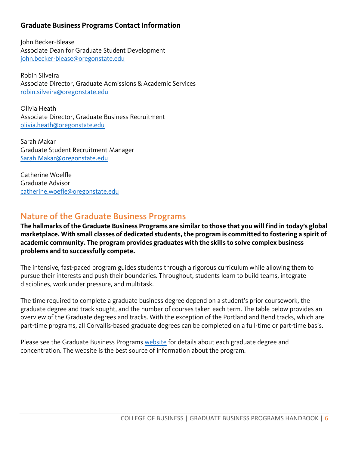## <span id="page-5-0"></span>**Graduate Business Programs Contact Information**

John Becker-Blease Associate Dean for Graduate Student Development [john.becker-blease@oregonstate.edu](mailto:john.becker-blease@oregonstate.edu)

Robin Silveira Associate Director, Graduate Admissions & Academic Services [robin.silveira@oregonstate.edu](mailto:robin.silveira@oregonstate.edu)

Olivia Heath Associate Director, Graduate Business Recruitment [olivia.heath@oregonstate.edu](mailto:Olivia.heath@oregonstate.edu)

Sarah Makar Graduate Student Recruitment Manager [Sarah.Makar@oregonstate.edu](mailto:sarah.makar@oregonstate.edu)

Catherine Woelfle Graduate Advisor [catherine.woefle@oregonstate.edu](file:///C:/Users/silveirr.ONID/Desktop/catherine.woefle@oregonstate.edu)

# <span id="page-5-1"></span>Nature of the Graduate Business Programs

**The hallmarks of the Graduate Business Programs are similar to those that you will find in today's global marketplace. With small classes of dedicated students, the program is committed to fostering a spirit of academic community. The program provides graduates with the skills to solve complex business problems and to successfully compete.**

The intensive, fast-paced program guides students through a rigorous curriculum while allowing them to pursue their interests and push their boundaries. Throughout, students learn to build teams, integrate disciplines, work under pressure, and multitask.

The time required to complete a graduate business degree depend on a student's prior coursework, the graduate degree and track sought, and the number of courses taken each term. The table below provides an overview of the Graduate degrees and tracks. With the exception of the Portland and Bend tracks, which are part-time programs, all Corvallis-based graduate degrees can be completed on a full-time or part-time basis.

Please see the Graduate Business Programs [website](https://business.oregonstate.edu/programs/graduate) for details about each graduate degree and concentration. The website is the best source of information about the program.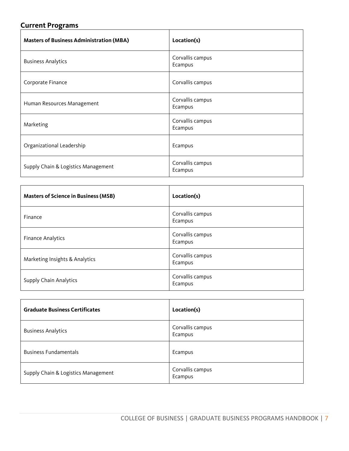# <span id="page-6-0"></span>**Current Programs**

| <b>Masters of Business Administration (MBA)</b> | Location(s)                 |
|-------------------------------------------------|-----------------------------|
| <b>Business Analytics</b>                       | Corvallis campus<br>Ecampus |
| Corporate Finance                               | Corvallis campus            |
| Human Resources Management                      | Corvallis campus<br>Ecampus |
| Marketing                                       | Corvallis campus<br>Ecampus |
| Organizational Leadership                       | Ecampus                     |
| Supply Chain & Logistics Management             | Corvallis campus<br>Ecampus |

| <b>Masters of Science in Business (MSB)</b> | Location(s)                 |
|---------------------------------------------|-----------------------------|
| Finance                                     | Corvallis campus<br>Ecampus |
| <b>Finance Analytics</b>                    | Corvallis campus<br>Ecampus |
| Marketing Insights & Analytics              | Corvallis campus<br>Ecampus |
| <b>Supply Chain Analytics</b>               | Corvallis campus<br>Ecampus |

| <b>Graduate Business Certificates</b> | Location(s)                 |
|---------------------------------------|-----------------------------|
| <b>Business Analytics</b>             | Corvallis campus<br>Ecampus |
| <b>Business Fundamentals</b>          | Ecampus                     |
| Supply Chain & Logistics Management   | Corvallis campus<br>Ecampus |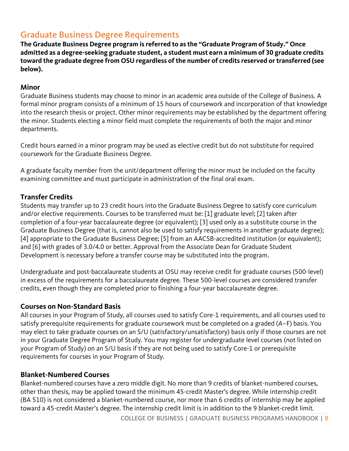# <span id="page-7-0"></span>Graduate Business Degree Requirements

**The Graduate Business Degree program is referred to as the "Graduate Program of Study." Once admitted as a degree-seeking graduate student, a student must earn a minimum of 30 graduate credits toward the graduate degree from OSU regardless of the number of credits reserved or transferred (see below).**

## <span id="page-7-1"></span>**Minor**

Graduate Business students may choose to minor in an academic area outside of the College of Business. A formal minor program consists of a minimum of 15 hours of coursework and incorporation of that knowledge into the research thesis or project. Other minor requirements may be established by the department offering the minor. Students electing a minor field must complete the requirements of both the major and minor departments.

Credit hours earned in a minor program may be used as elective credit but do not substitute for required coursework for the Graduate Business Degree.

A graduate faculty member from the unit/department offering the minor must be included on the faculty examining committee and must participate in administration of the final oral exam.

## <span id="page-7-2"></span>**Transfer Credits**

Students may transfer up to 23 credit hours into the Graduate Business Degree to satisfy core curriculum and/or elective requirements. Courses to be transferred must be: [1] graduate level; [2] taken after completion of a four-year baccalaureate degree (or equivalent); [3] used only as a substitute course in the Graduate Business Degree (that is, cannot also be used to satisfy requirements in another graduate degree); [4] appropriate to the Graduate Business Degree; [5] from an AACSB-accredited institution (or equivalent); and [6] with grades of 3.0/4.0 or better. Approval from the Associate Dean for Graduate Student Development is necessary before a transfer course may be substituted into the program.

Undergraduate and post-baccalaureate students at OSU may receive credit for graduate courses (500-level) in excess of the requirements for a baccalaureate degree. These 500-level courses are considered transfer credits, even though they are completed prior to finishing a four-year baccalaureate degree.

## <span id="page-7-3"></span>**Courses on Non-Standard Basis**

All courses in your Program of Study, all courses used to satisfy Core-1 requirements, and all courses used to satisfy prerequisite requirements for graduate coursework must be completed on a graded (A–F) basis. You may elect to take graduate courses on an S/U (satisfactory/unsatisfactory) basis only if those courses are not in your Graduate Degree Program of Study. You may register for undergraduate level courses (not listed on your Program of Study) on an S/U basis if they are not being used to satisfy Core-1 or prerequisite requirements for courses in your Program of Study.

## <span id="page-7-4"></span>**Blanket-Numbered Courses**

Blanket-numbered courses have a zero middle digit. No more than 9 credits of blanket-numbered courses, other than thesis, may be applied toward the minimum 45-credit Master's degree. While internship credit (BA 510) is not considered a blanket-numbered course, nor more than 6 credits of internship may be applied toward a 45-credit Master's degree. The internship credit limit is in addition to the 9 blanket-credit limit.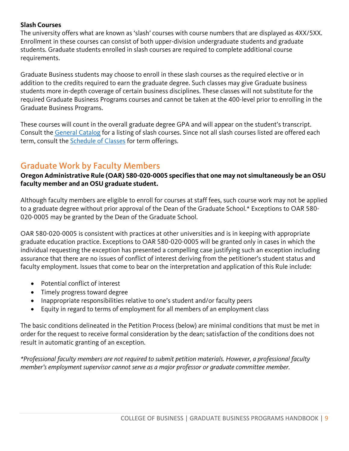#### <span id="page-8-0"></span>**Slash Courses**

The university offers what are known as 'slash' courses with course numbers that are displayed as 4XX/5XX. Enrollment in these courses can consist of both upper-division undergraduate students and graduate students. Graduate students enrolled in slash courses are required to complete additional course requirements.

Graduate Business students may choose to enroll in these slash courses as the required elective or in addition to the credits required to earn the graduate degree. Such classes may give Graduate business students more in-depth coverage of certain business disciplines. These classes will not substitute for the required Graduate Business Programs courses and cannot be taken at the 400-level prior to enrolling in the Graduate Business Programs.

These courses will count in the overall graduate degree GPA and will appear on the student's transcript. Consult the [General Catalog](https://catalog.oregonstate.edu/courses/) for a listing of slash courses. Since not all slash courses listed are offered each term, consult the [Schedule of Classes](https://classes.oregonstate.edu/) for term offerings.

## <span id="page-8-1"></span>Graduate Work by Faculty Members

**Oregon Administrative Rule (OAR) 580-020-0005 specifies that one may not simultaneously be an OSU faculty member and an OSU graduate student.**

Although faculty members are eligible to enroll for courses at staff fees, such course work may not be applied to a graduate degree without prior approval of the Dean of the Graduate School.\* Exceptions to OAR 580- 020-0005 may be granted by the Dean of the Graduate School.

OAR 580-020-0005 is consistent with practices at other universities and is in keeping with appropriate graduate education practice. Exceptions to OAR 580-020-0005 will be granted only in cases in which the individual requesting the exception has presented a compelling case justifying such an exception including assurance that there are no issues of conflict of interest deriving from the petitioner's student status and faculty employment. Issues that come to bear on the interpretation and application of this Rule include:

- Potential conflict of interest
- Timely progress toward degree
- Inappropriate responsibilities relative to one's student and/or faculty peers
- Equity in regard to terms of employment for all members of an employment class

The basic conditions delineated in the Petition Process (below) are minimal conditions that must be met in order for the request to receive formal consideration by the dean; satisfaction of the conditions does not result in automatic granting of an exception.

*\*Professional faculty members are not required to submit petition materials. However, a professional faculty member's employment supervisor cannot serve as a major professor or graduate committee member.*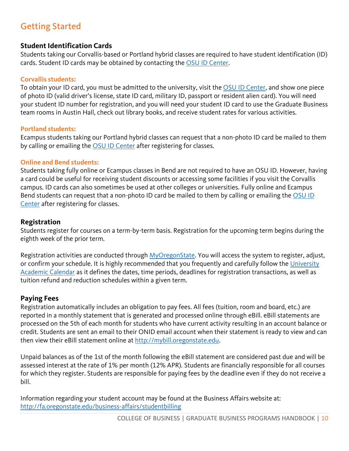# <span id="page-9-0"></span>Getting Started

## <span id="page-9-1"></span>**Student Identification Cards**

Students taking our Corvallis-based or Portland hybrid classes are required to have student identification (ID) cards. Student ID cards may be obtained by contacting the [OSU ID Center.](http://fa.oregonstate.edu/business-affairs/id-center)

#### **Corvallis students:**

To obtain your ID card, you must be admitted to the university, visit the [OSU ID Center,](http://fa.oregonstate.edu/business-affairs/id-center) and show one piece of photo ID (valid driver's license, state ID card, military ID, passport or resident alien card). You will need your student ID number for registration, and you will need your student ID card to use the Graduate Business team rooms in Austin Hall, check out library books, and receive student rates for various activities.

#### **Portland students:**

Ecampus students taking our Portland hybrid classes can request that a non-photo ID card be mailed to them by calling or emailing the [OSU ID Center](http://fa.oregonstate.edu/business-affairs/id-center) after registering for classes.

#### **Online and Bend students:**

Students taking fully online or Ecampus classes in Bend are not required to have an OSU ID. However, having a card could be useful for receiving student discounts or accessing some facilities if you visit the Corvallis campus. ID cards can also sometimes be used at other colleges or universities. Fully online and Ecampus Bend students can request that a non-photo ID card be mailed to them by calling or emailing the [OSU ID](http://fa.oregonstate.edu/business-affairs/id-center)  [Center](http://fa.oregonstate.edu/business-affairs/id-center) after registering for classes.

## <span id="page-9-2"></span>**Registration**

Students register for courses on a term-by-term basis. Registration for the upcoming term begins during the eighth week of the prior term.

Registration activities are conducted through [MyOregonState.](https://my.oregonstate.edu/) You will access the system to register, adjust, or confirm your schedule. It is highly recommended that you frequently and carefully follow the [University](https://registrar.oregonstate.edu/osu-academic-calendar/)  [Academic Calendar](https://registrar.oregonstate.edu/osu-academic-calendar/) as it defines the dates, time periods, deadlines for registration transactions, as well as tuition refund and reduction schedules within a given term.

#### <span id="page-9-3"></span>**Paying Fees**

Registration automatically includes an obligation to pay fees. All fees (tuition, room and board, etc.) are reported in a monthly statement that is generated and processed online through eBill. eBill statements are processed on the 5th of each month for students who have current activity resulting in an account balance or credit. Students are sent an email to their ONID email account when their statement is ready to view and can then view their eBill statement online at [http://mybill.oregonstate.edu.](http://mybill.oregonstate.edu/)

Unpaid balances as of the 1st of the month following the eBill statement are considered past due and will be assessed interest at the rate of 1% per month (12% APR). Students are financially responsible for all courses for which they register. Students are responsible for paying fees by the deadline even if they do not receive a bill.

Information regarding your student account may be found at the Business Affairs website at: <http://fa.oregonstate.edu/business-affairs/studentbilling>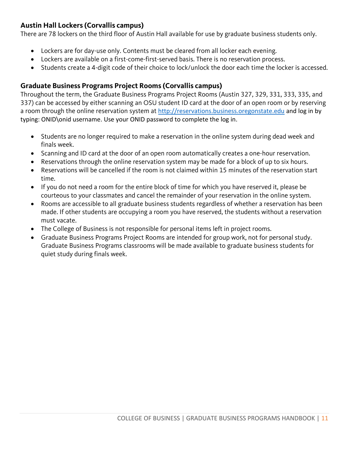## <span id="page-10-0"></span>**Austin Hall Lockers (Corvallis campus)**

There are 78 lockers on the third floor of Austin Hall available for use by graduate business students only.

- Lockers are for day-use only. Contents must be cleared from all locker each evening.
- Lockers are available on a first-come-first-served basis. There is no reservation process.
- Students create a 4-digit code of their choice to lock/unlock the door each time the locker is accessed.

## <span id="page-10-1"></span>**Graduate Business Programs Project Rooms (Corvallis campus)**

Throughout the term, the Graduate Business Programs Project Rooms (Austin 327, 329, 331, 333, 335, and 337) can be accessed by either scanning an OSU student ID card at the door of an open room or by reserving a room through the online reservation system at [http://reservations.business.oregonstate.edu](http://reservations.business.oregonstate.edu/) and log in by typing: ONID\onid username. Use your ONID password to complete the log in.

- Students are no longer required to make a reservation in the online system during dead week and finals week.
- Scanning and ID card at the door of an open room automatically creates a one-hour reservation.
- Reservations through the online reservation system may be made for a block of up to six hours.
- Reservations will be cancelled if the room is not claimed within 15 minutes of the reservation start time.
- If you do not need a room for the entire block of time for which you have reserved it, please be courteous to your classmates and cancel the remainder of your reservation in the online system.
- Rooms are accessible to all graduate business students regardless of whether a reservation has been made. If other students are occupying a room you have reserved, the students without a reservation must vacate.
- The College of Business is not responsible for personal items left in project rooms.
- Graduate Business Programs Project Rooms are intended for group work, not for personal study. Graduate Business Programs classrooms will be made available to graduate business students for quiet study during finals week.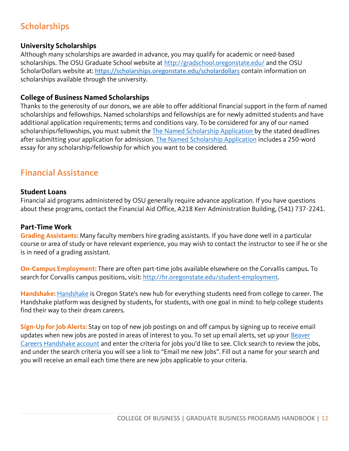# <span id="page-11-0"></span>**Scholarships**

## <span id="page-11-1"></span>**University Scholarships**

Although many scholarships are awarded in advance, you may qualify for academic or need-based scholarships. The OSU Graduate School website at<http://gradschool.oregonstate.edu/> and the OSU ScholarDollars website at: <https://scholarships.oregonstate.edu/scholardollars> contain information on scholarships available through the university.

## <span id="page-11-2"></span>**College of Business Named Scholarships**

Thanks to the generosity of our donors, we are able to offer additional financial support in the form of named scholarships and fellowships. Named scholarships and fellowships are for newly admitted students and have additional application requirements; terms and conditions vary. To be considered for any of our named scholarships/fellowships, you must submit the [The Named Scholarship Application](https://oregonstate.qualtrics.com/jfe/form/SV_8qcCLXQSGqlc55b) by the stated deadlines after submitting your application for admission. [The Named Scholarship Application](https://oregonstate.qualtrics.com/jfe/form/SV_8qcCLXQSGqlc55b) includes a 250-word essay for any scholarship/fellowship for which you want to be considered.

# <span id="page-11-3"></span>Financial Assistance

## <span id="page-11-4"></span>**Student Loans**

Financial aid programs administered by OSU generally require advance application. If you have questions about these programs, contact the Financial Aid Office, A218 Kerr Administration Building, (541) 737-2241.

## <span id="page-11-5"></span>**Part-Time Work**

**Grading Assistants:** Many faculty members hire grading assistants. If you have done well in a particular course or area of study or have relevant experience, you may wish to contact the instructor to see if he or she is in need of a grading assistant.

**On-Campus Employment:** There are often part-time jobs available elsewhere on the Corvallis campus. To search for Corvallis campus positions, visit:<http://hr.oregonstate.edu/student-employment>*.* 

**Handshake:** [Handshake](https://oregonstate.joinhandshake.com/) is Oregon State's new hub for everything students need from college to career. The Handshake platform was designed by students, for students, with one goal in mind: to help college students find their way to their dream careers.

**Sign-Up for Job Alerts:** Stay on top of new job postings on and off campus by signing up to receive email updates when new jobs are posted in areas of interest to you. To set up email alerts, set up your Beaver [Careers Handshake account](https://oregonstate.joinhandshake.com/login) and enter the criteria for jobs you'd like to see. Click search to review the jobs, and under the search criteria you will see a link to "Email me new Jobs". Fill out a name for your search and you will receive an email each time there are new jobs applicable to your criteria.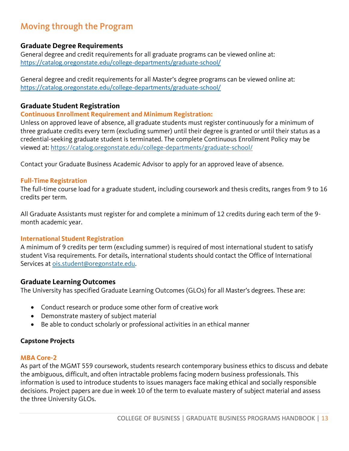# <span id="page-12-0"></span>Moving through the Program

## <span id="page-12-1"></span>**Graduate Degree Requirements**

General degree and credit requirements for all graduate programs can be viewed online at: <https://catalog.oregonstate.edu/college-departments/graduate-school/>

General degree and credit requirements for all Master's degree programs can be viewed online at: <https://catalog.oregonstate.edu/college-departments/graduate-school/>

#### <span id="page-12-2"></span>**Graduate Student Registration**

#### **Continuous Enrollment Requirement and Minimum Registration:**

Unless on approved leave of absence, all graduate students must register continuously for a minimum of three graduate credits every term (excluding summer) until their degree is granted or until their status as a credential-seeking graduate student is terminated. The complete Continuous Enrollment Policy may be viewed at: https://catalog.oregonstate.edu/college-departments/graduate-school/

Contact your Graduate Business Academic Advisor to apply for an approved leave of absence.

#### **Full-Time Registration**

The full-time course load for a graduate student, including coursework and thesis credits, ranges from 9 to 16 credits per term.

All Graduate Assistants must register for and complete a minimum of 12 credits during each term of the 9 month academic year.

#### **International Student Registration**

A minimum of 9 credits per term (excluding summer) is required of most international student to satisfy student Visa requirements. For details, international students should contact the Office of International Services at [ois.student@oregonstate.edu.](mailto:ois.student@oregonstate.edu)

#### <span id="page-12-3"></span>**Graduate Learning Outcomes**

The University has specified Graduate Learning Outcomes (GLOs) for all Master's degrees. These are:

- Conduct research or produce some other form of creative work
- Demonstrate mastery of subject material
- Be able to conduct scholarly or professional activities in an ethical manner

#### <span id="page-12-4"></span>**Capstone Projects**

#### **MBA Core-2**

As part of the MGMT 559 coursework, students research contemporary business ethics to discuss and debate the ambiguous, difficult, and often intractable problems facing modern business professionals. This information is used to introduce students to issues managers face making ethical and socially responsible decisions. Project papers are due in week 10 of the term to evaluate mastery of subject material and assess the three University GLOs.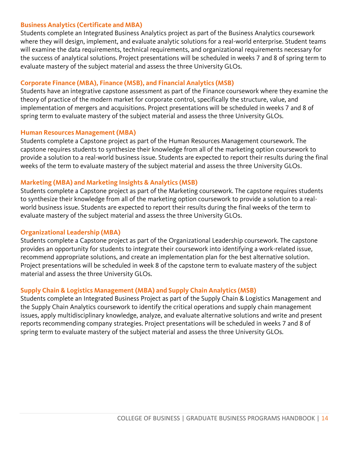#### **Business Analytics (Certificate and MBA)**

Students complete an Integrated Business Analytics project as part of the Business Analytics coursework where they will design, implement, and evaluate analytic solutions for a real-world enterprise. Student teams will examine the data requirements, technical requirements, and organizational requirements necessary for the success of analytical solutions. Project presentations will be scheduled in weeks 7 and 8 of spring term to evaluate mastery of the subject material and assess the three University GLOs.

#### **Corporate Finance (MBA), Finance (MSB), and Financial Analytics (MSB)**

Students have an integrative capstone assessment as part of the Finance coursework where they examine the theory of practice of the modern market for corporate control, specifically the structure, value, and implementation of mergers and acquisitions. Project presentations will be scheduled in weeks 7 and 8 of spring term to evaluate mastery of the subject material and assess the three University GLOs.

#### **Human Resources Management (MBA)**

Students complete a Capstone project as part of the Human Resources Management coursework. The capstone requires students to synthesize their knowledge from all of the marketing option coursework to provide a solution to a real-world business issue. Students are expected to report their results during the final weeks of the term to evaluate mastery of the subject material and assess the three University GLOs.

#### **Marketing (MBA) and Marketing Insights & Analytics (MSB)**

Students complete a Capstone project as part of the Marketing coursework. The capstone requires students to synthesize their knowledge from all of the marketing option coursework to provide a solution to a realworld business issue. Students are expected to report their results during the final weeks of the term to evaluate mastery of the subject material and assess the three University GLOs.

#### **Organizational Leadership (MBA)**

Students complete a Capstone project as part of the Organizational Leadership coursework. The capstone provides an opportunity for students to integrate their coursework into identifying a work-related issue, recommend appropriate solutions, and create an implementation plan for the best alternative solution. Project presentations will be scheduled in week 8 of the capstone term to evaluate mastery of the subject material and assess the three University GLOs.

#### **Supply Chain & Logistics Management (MBA) and Supply Chain Analytics (MSB)**

Students complete an Integrated Business Project as part of the Supply Chain & Logistics Management and the Supply Chain Analytics coursework to identify the critical operations and supply chain management issues, apply multidisciplinary knowledge, analyze, and evaluate alternative solutions and write and present reports recommending company strategies. Project presentations will be scheduled in weeks 7 and 8 of spring term to evaluate mastery of the subject material and assess the three University GLOs.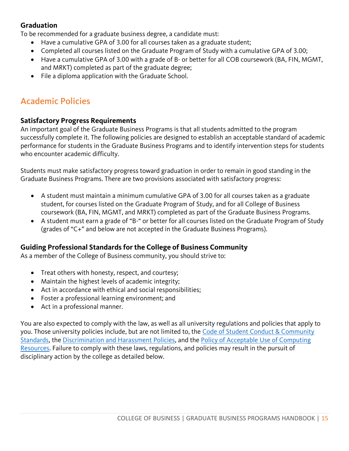## <span id="page-14-0"></span>**Graduation**

To be recommended for a graduate business degree, a candidate must:

- Have a cumulative GPA of 3.00 for all courses taken as a graduate student;
- Completed all courses listed on the Graduate Program of Study with a cumulative GPA of 3.00;
- Have a cumulative GPA of 3.00 with a grade of B- or better for all COB coursework (BA, FIN, MGMT, and MRKT) completed as part of the graduate degree;
- File a diploma application with the Graduate School.

# <span id="page-14-1"></span>Academic Policies

## <span id="page-14-2"></span>**Satisfactory Progress Requirements**

An important goal of the Graduate Business Programs is that all students admitted to the program successfully complete it. The following policies are designed to establish an acceptable standard of academic performance for students in the Graduate Business Programs and to identify intervention steps for students who encounter academic difficulty.

Students must make satisfactory progress toward graduation in order to remain in good standing in the Graduate Business Programs. There are two provisions associated with satisfactory progress:

- A student must maintain a minimum cumulative GPA of 3.00 for all courses taken as a graduate student, for courses listed on the Graduate Program of Study, and for all College of Business coursework (BA, FIN, MGMT, and MRKT) completed as part of the Graduate Business Programs.
- A student must earn a grade of "B-" or better for all courses listed on the Graduate Program of Study (grades of "C+" and below are not accepted in the Graduate Business Programs).

## <span id="page-14-3"></span>**Guiding Professional Standards for the College of Business Community**

As a member of the College of Business community, you should strive to:

- Treat others with honesty, respect, and courtesy;
- Maintain the highest levels of academic integrity;
- Act in accordance with ethical and social responsibilities;
- Foster a professional learning environment; and
- Act in a professional manner.

You are also expected to comply with the law, as well as all university regulations and policies that apply to you. Those university policies include, but are not limited to, the [Code of Student Conduct](https://studentlife.oregonstate.edu/studentconduct) & Community [Standards,](https://studentlife.oregonstate.edu/studentconduct) the [Discrimination and Harassment Policies,](https://eoa.oregonstate.edu/discrimination-and-harassment-policies) and the [Policy of Acceptable Use of Computing](https://policy.oregonstate.edu/UPSM/08-005_acceptable_use_computing_resources)  [Resources.](https://policy.oregonstate.edu/UPSM/08-005_acceptable_use_computing_resources) Failure to comply with these laws, regulations, and policies may result in the pursuit of disciplinary action by the college as detailed below.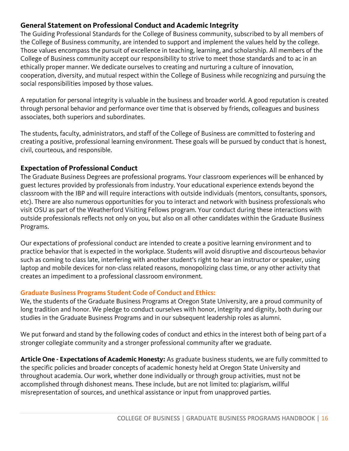## <span id="page-15-0"></span>**General Statement on Professional Conduct and Academic Integrity**

The Guiding Professional Standards for the College of Business community, subscribed to by all members of the College of Business community, are intended to support and implement the values held by the college. Those values encompass the pursuit of excellence in teaching, learning, and scholarship. All members of the College of Business community accept our responsibility to strive to meet those standards and to ac in an ethically proper manner. We dedicate ourselves to creating and nurturing a culture of innovation, cooperation, diversity, and mutual respect within the College of Business while recognizing and pursuing the social responsibilities imposed by those values.

A reputation for personal integrity is valuable in the business and broader world. A good reputation is created through personal behavior and performance over time that is observed by friends, colleagues and business associates, both superiors and subordinates.

The students, faculty, administrators, and staff of the College of Business are committed to fostering and creating a positive, professional learning environment. These goals will be pursued by conduct that is honest, civil, courteous, and responsible.

## <span id="page-15-1"></span>**Expectation of Professional Conduct**

The Graduate Business Degrees are professional programs. Your classroom experiences will be enhanced by guest lectures provided by professionals from industry. Your educational experience extends beyond the classroom with the IBP and will require interactions with outside individuals (mentors, consultants, sponsors, etc). There are also numerous opportunities for you to interact and network with business professionals who visit OSU as part of the Weatherford Visiting Fellows program. Your conduct during these interactions with outside professionals reflects not only on you, but also on all other candidates within the Graduate Business Programs.

Our expectations of professional conduct are intended to create a positive learning environment and to practice behavior that is expected in the workplace. Students will avoid disruptive and discourteous behavior such as coming to class late, interfering with another student's right to hear an instructor or speaker, using laptop and mobile devices for non-class related reasons, monopolizing class time, or any other activity that creates an impediment to a professional classroom environment.

## **Graduate Business Programs Student Code of Conduct and Ethics:**

We, the students of the Graduate Business Programs at Oregon State University, are a proud community of long tradition and honor. We pledge to conduct ourselves with honor, integrity and dignity, both during our studies in the Graduate Business Programs and in our subsequent leadership roles as alumni.

We put forward and stand by the following codes of conduct and ethics in the interest both of being part of a stronger collegiate community and a stronger professional community after we graduate.

**Article One - Expectations of Academic Honesty:** As graduate business students, we are fully committed to the specific policies and broader concepts of academic honesty held at Oregon State University and throughout academia. Our work, whether done individually or through group activities, must not be accomplished through dishonest means. These include, but are not limited to: plagiarism, willful misrepresentation of sources, and unethical assistance or input from unapproved parties.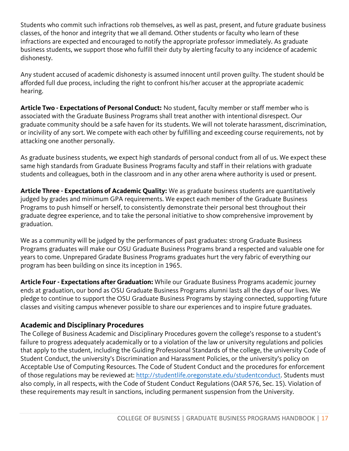Students who commit such infractions rob themselves, as well as past, present, and future graduate business classes, of the honor and integrity that we all demand. Other students or faculty who learn of these infractions are expected and encouraged to notify the appropriate professor immediately. As graduate business students, we support those who fulfill their duty by alerting faculty to any incidence of academic dishonesty.

Any student accused of academic dishonesty is assumed innocent until proven guilty. The student should be afforded full due process, including the right to confront his/her accuser at the appropriate academic hearing.

**Article Two - Expectations of Personal Conduct:** No student, faculty member or staff member who is associated with the Graduate Business Programs shall treat another with intentional disrespect. Our graduate community should be a safe haven for its students. We will not tolerate harassment, discrimination, or incivility of any sort. We compete with each other by fulfilling and exceeding course requirements, not by attacking one another personally.

As graduate business students, we expect high standards of personal conduct from all of us. We expect these same high standards from Graduate Business Programs faculty and staff in their relations with graduate students and colleagues, both in the classroom and in any other arena where authority is used or present.

**Article Three - Expectations of Academic Quality:** We as graduate business students are quantitatively judged by grades and minimum GPA requirements. We expect each member of the Graduate Business Programs to push himself or herself, to consistently demonstrate their personal best throughout their graduate degree experience, and to take the personal initiative to show comprehensive improvement by graduation.

We as a community will be judged by the performances of past graduates: strong Graduate Business Programs graduates will make our OSU Graduate Business Programs brand a respected and valuable one for years to come. Unprepared Gradate Business Programs graduates hurt the very fabric of everything our program has been building on since its inception in 1965.

**Article Four - Expectations after Graduation:** While our Graduate Business Programs academic journey ends at graduation, our bond as OSU Graduate Business Programs alumni lasts all the days of our lives. We pledge to continue to support the OSU Graduate Business Programs by staying connected, supporting future classes and visiting campus whenever possible to share our experiences and to inspire future graduates.

## <span id="page-16-0"></span>**Academic and Disciplinary Procedures**

The College of Business Academic and Disciplinary Procedures govern the college's response to a student's failure to progress adequately academically or to a violation of the law or university regulations and policies that apply to the student, including the Guiding Professional Standards of the college, the university Code of Student Conduct, the university's Discrimination and Harassment Policies, or the university's policy on Acceptable Use of Computing Resources. The Code of Student Conduct and the procedures for enforcement of those regulations may be reviewed at: [http://studentlife.oregonstate.edu/studentconduct.](http://studentlife.oregonstate.edu/studentconduct) Students must also comply, in all respects, with the Code of Student Conduct Regulations (OAR 576, Sec. 15). Violation of these requirements may result in sanctions, including permanent suspension from the University.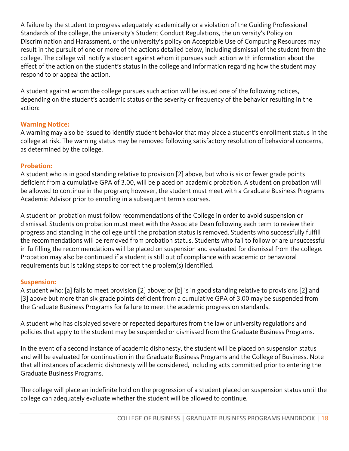A failure by the student to progress adequately academically or a violation of the Guiding Professional Standards of the college, the university's Student Conduct Regulations, the university's Policy on Discrimination and Harassment, or the university's policy on Acceptable Use of Computing Resources may result in the pursuit of one or more of the actions detailed below, including dismissal of the student from the college. The college will notify a student against whom it pursues such action with information about the effect of the action on the student's status in the college and information regarding how the student may respond to or appeal the action.

A student against whom the college pursues such action will be issued one of the following notices, depending on the student's academic status or the severity or frequency of the behavior resulting in the action:

#### **Warning Notice:**

A warning may also be issued to identify student behavior that may place a student's enrollment status in the college at risk. The warning status may be removed following satisfactory resolution of behavioral concerns, as determined by the college.

## **Probation:**

A student who is in good standing relative to provision [2] above, but who is six or fewer grade points deficient from a cumulative GPA of 3.00, will be placed on academic probation. A student on probation will be allowed to continue in the program; however, the student must meet with a Graduate Business Programs Academic Advisor prior to enrolling in a subsequent term's courses.

A student on probation must follow recommendations of the College in order to avoid suspension or dismissal. Students on probation must meet with the Associate Dean following each term to review their progress and standing in the college until the probation status is removed. Students who successfully fulfill the recommendations will be removed from probation status. Students who fail to follow or are unsuccessful in fulfilling the recommendations will be placed on suspension and evaluated for dismissal from the college. Probation may also be continued if a student is still out of compliance with academic or behavioral requirements but is taking steps to correct the problem(s) identified.

#### **Suspension:**

A student who: [a] fails to meet provision [2] above; or [b] is in good standing relative to provisions [2] and [3] above but more than six grade points deficient from a cumulative GPA of 3.00 may be suspended from the Graduate Business Programs for failure to meet the academic progression standards.

A student who has displayed severe or repeated departures from the law or university regulations and policies that apply to the student may be suspended or dismissed from the Graduate Business Programs.

In the event of a second instance of academic dishonesty, the student will be placed on suspension status and will be evaluated for continuation in the Graduate Business Programs and the College of Business. Note that all instances of academic dishonesty will be considered, including acts committed prior to entering the Graduate Business Programs.

The college will place an indefinite hold on the progression of a student placed on suspension status until the college can adequately evaluate whether the student will be allowed to continue.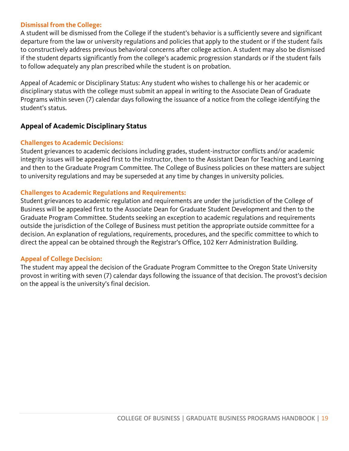#### **Dismissal from the College:**

A student will be dismissed from the College if the student's behavior is a sufficiently severe and significant departure from the law or university regulations and policies that apply to the student or if the student fails to constructively address previous behavioral concerns after college action. A student may also be dismissed if the student departs significantly from the college's academic progression standards or if the student fails to follow adequately any plan prescribed while the student is on probation.

Appeal of Academic or Disciplinary Status: Any student who wishes to challenge his or her academic or disciplinary status with the college must submit an appeal in writing to the Associate Dean of Graduate Programs within seven (7) calendar days following the issuance of a notice from the college identifying the student's status.

#### <span id="page-18-0"></span>**Appeal of Academic Disciplinary Status**

#### **Challenges to Academic Decisions:**

Student grievances to academic decisions including grades, student-instructor conflicts and/or academic integrity issues will be appealed first to the instructor, then to the Assistant Dean for Teaching and Learning and then to the Graduate Program Committee. The College of Business policies on these matters are subject to university regulations and may be superseded at any time by changes in university policies.

#### **Challenges to Academic Regulations and Requirements:**

Student grievances to academic regulation and requirements are under the jurisdiction of the College of Business will be appealed first to the Associate Dean for Graduate Student Development and then to the Graduate Program Committee. Students seeking an exception to academic regulations and requirements outside the jurisdiction of the College of Business must petition the appropriate outside committee for a decision. An explanation of regulations, requirements, procedures, and the specific committee to which to direct the appeal can be obtained through the Registrar's Office, 102 Kerr Administration Building.

#### **Appeal of College Decision:**

The student may appeal the decision of the Graduate Program Committee to the Oregon State University provost in writing with seven (7) calendar days following the issuance of that decision. The provost's decision on the appeal is the university's final decision.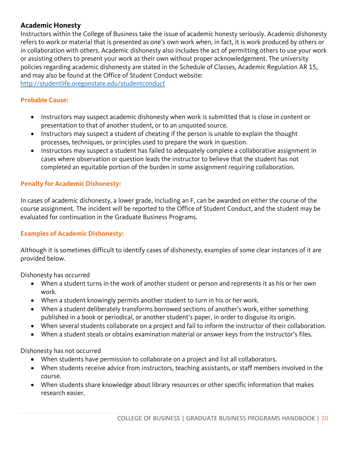## <span id="page-19-0"></span>**Academic Honesty**

Instructors within the College of Business take the issue of academic honesty seriously. Academic dishonesty refers to work or material that is presented as one's own work when, in fact, it is work produced by others or in collaboration with others. Academic dishonesty also includes the act of permitting others to use your work or assisting others to present your work as their own without proper acknowledgement. The university policies regarding academic dishonesty are stated in the Schedule of Classes, Academic Regulation AR 15, and may also be found at the Office of Student Conduct website:

<http://studentlife.oregonstate.edu/studentconduct>

#### **Probable Cause:**

- Instructors may suspect academic dishonesty when work is submitted that is close in content or presentation to that of another student, or to an unquoted source.
- Instructors may suspect a student of cheating if the person is unable to explain the thought processes, techniques, or principles used to prepare the work in question.
- Instructors may suspect a student has failed to adequately complete a collaborative assignment in cases where observation or question leads the instructor to believe that the student has not completed an equitable portion of the burden in some assignment requiring collaboration.

## **Penalty for Academic Dishonesty:**

In cases of academic dishonesty, a lower grade, including an F, can be awarded on either the course of the course assignment. The incident will be reported to the Office of Student Conduct, and the student may be evaluated for continuation in the Graduate Business Programs.

#### **Examples of Academic Dishonesty:**

Although it is sometimes difficult to identify cases of dishonesty, examples of some clear instances of it are provided below.

Dishonesty has occurred

- When a student turns in the work of another student or person and represents it as his or her own work.
- When a student knowingly permits another student to turn in his or her work.
- When a student deliberately transforms borrowed sections of another's work, either something published in a book or periodical, or another student's paper, in order to disguise its origin.
- When several students collaborate on a project and fail to inform the instructor of their collaboration.
- When a student steals or obtains examination material or answer keys from the instructor's files.

Dishonesty has not occurred

- When students have permission to collaborate on a project and list all collaborators.
- When students receive advice from instructors, teaching assistants, or staff members involved in the course.
- When students share knowledge about library resources or other specific information that makes research easier.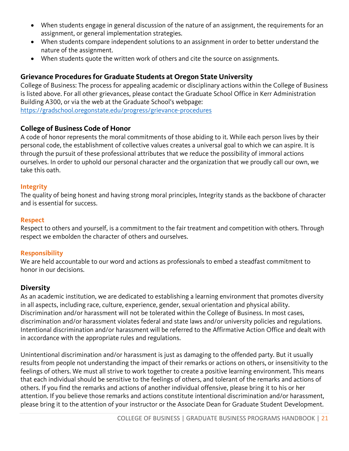- When students engage in general discussion of the nature of an assignment, the requirements for an assignment, or general implementation strategies.
- When students compare independent solutions to an assignment in order to better understand the nature of the assignment.
- When students quote the written work of others and cite the source on assignments.

## <span id="page-20-0"></span>**Grievance Procedures for Graduate Students at Oregon State University**

College of Business: The process for appealing academic or disciplinary actions within the College of Business is listed above. For all other grievances, please contact the Graduate School Office in Kerr Administration Building A300, or via the web at the Graduate School's webpage:

<https://gradschool.oregonstate.edu/progress/grievance-procedures>

## <span id="page-20-1"></span>**College of Business Code of Honor**

A code of honor represents the moral commitments of those abiding to it. While each person lives by their personal code, the establishment of collective values creates a universal goal to which we can aspire. It is through the pursuit of these professional attributes that we reduce the possibility of immoral actions ourselves. In order to uphold our personal character and the organization that we proudly call our own, we take this oath.

#### **Integrity**

The quality of being honest and having strong moral principles, Integrity stands as the backbone of character and is essential for success.

#### **Respect**

Respect to others and yourself, is a commitment to the fair treatment and competition with others. Through respect we embolden the character of others and ourselves.

## **Responsibility**

We are held accountable to our word and actions as professionals to embed a steadfast commitment to honor in our decisions.

## <span id="page-20-2"></span>**Diversity**

As an academic institution, we are dedicated to establishing a learning environment that promotes diversity in all aspects, including race, culture, experience, gender, sexual orientation and physical ability. Discrimination and/or harassment will not be tolerated within the College of Business. In most cases, discrimination and/or harassment violates federal and state laws and/or university policies and regulations. Intentional discrimination and/or harassment will be referred to the Affirmative Action Office and dealt with in accordance with the appropriate rules and regulations.

Unintentional discrimination and/or harassment is just as damaging to the offended party. But it usually results from people not understanding the impact of their remarks or actions on others, or insensitivity to the feelings of others. We must all strive to work together to create a positive learning environment. This means that each individual should be sensitive to the feelings of others, and tolerant of the remarks and actions of others. If you find the remarks and actions of another individual offensive, please bring it to his or her attention. If you believe those remarks and actions constitute intentional discrimination and/or harassment, please bring it to the attention of your instructor or the Associate Dean for Graduate Student Development.